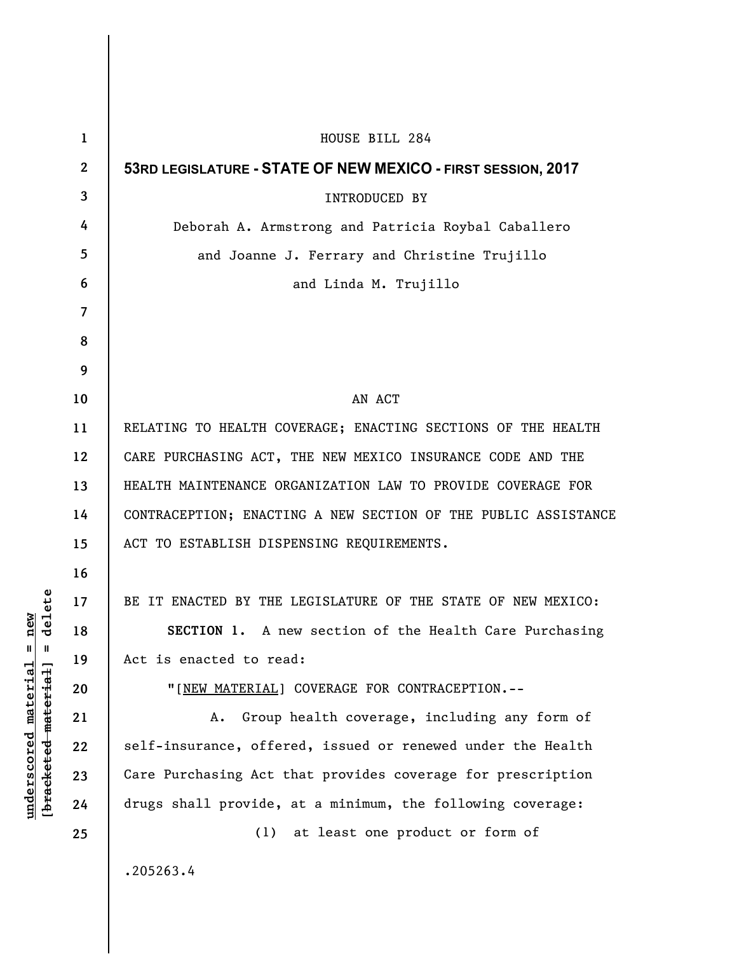| $\mathbf{1}$   | HOUSE BILL 284                                                 |
|----------------|----------------------------------------------------------------|
| $\mathbf{2}$   | 53RD LEGISLATURE - STATE OF NEW MEXICO - FIRST SESSION, 2017   |
| 3              | <b>INTRODUCED BY</b>                                           |
| 4              | Deborah A. Armstrong and Patricia Roybal Caballero             |
| 5              | and Joanne J. Ferrary and Christine Trujillo                   |
| 6              | and Linda M. Trujillo                                          |
| $\overline{7}$ |                                                                |
| 8              |                                                                |
| 9              |                                                                |
| 10             | AN ACT                                                         |
| 11             | RELATING TO HEALTH COVERAGE; ENACTING SECTIONS OF THE HEALTH   |
| 12             | CARE PURCHASING ACT, THE NEW MEXICO INSURANCE CODE AND THE     |
| 13             | HEALTH MAINTENANCE ORGANIZATION LAW TO PROVIDE COVERAGE FOR    |
| 14             | CONTRACEPTION; ENACTING A NEW SECTION OF THE PUBLIC ASSISTANCE |
| 15             | ACT TO ESTABLISH DISPENSING REQUIREMENTS.                      |
| 16             |                                                                |
| 17             | BE IT ENACTED BY THE LEGISLATURE OF THE STATE OF NEW MEXICO:   |
| 18             | SECTION 1. A new section of the Health Care Purchasing         |
| 19             | Act is enacted to read:                                        |
| 20             | "[NEW MATERIAL] COVERAGE FOR CONTRACEPTION.--                  |
| 21             | Group health coverage, including any form of<br>Α.             |
| 22             | self-insurance, offered, issued or renewed under the Health    |
| 23             | Care Purchasing Act that provides coverage for prescription    |
| 24             | drugs shall provide, at a minimum, the following coverage:     |
| 25             | at least one product or form of<br>(1)                         |
|                | .205263.4                                                      |
|                |                                                                |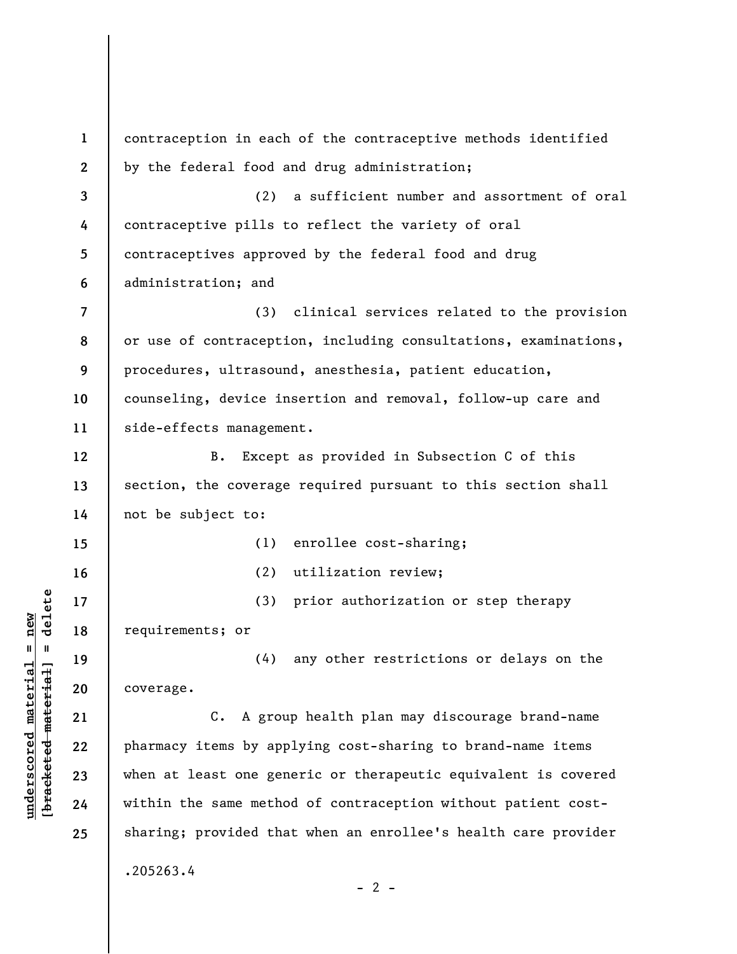**1 2 3 4 5 6 7 8 9 10 11 12 13 14 15 16 17 18 19 20 21 22 23 24 25**  contraception in each of the contraceptive methods identified by the federal food and drug administration; (2) a sufficient number and assortment of oral contraceptive pills to reflect the variety of oral contraceptives approved by the federal food and drug administration; and (3) clinical services related to the provision or use of contraception, including consultations, examinations, procedures, ultrasound, anesthesia, patient education, counseling, device insertion and removal, follow-up care and side-effects management. B. Except as provided in Subsection C of this section, the coverage required pursuant to this section shall not be subject to: (1) enrollee cost-sharing; (2) utilization review; (3) prior authorization or step therapy requirements; or (4) any other restrictions or delays on the coverage. C. A group health plan may discourage brand-name pharmacy items by applying cost-sharing to brand-name items when at least one generic or therapeutic equivalent is covered within the same method of contraception without patient costsharing; provided that when an enrollee's health care provider .205263.4  $- 2 -$ 

**underscored material = new [bracketed material] = delete**

 $\frac{1}{2}$  bracketed material = delete  $underscored material = new$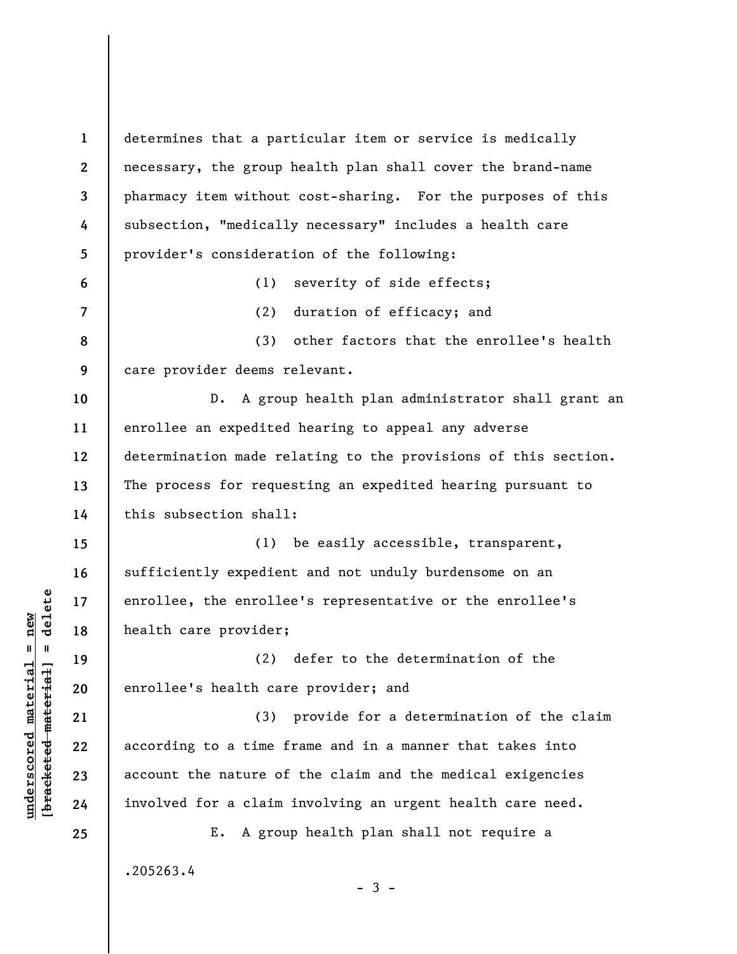**1 2 3 4 5 6 7 8 9 10 11 12 13 14 15 16 17 18 19 20 21 22 23 24 25**  determines that a particular item or service is medically necessary, the group health plan shall cover the brand-name pharmacy item without cost-sharing. For the purposes of this subsection, "medically necessary" includes a health care provider's consideration of the following: (1) severity of side effects; (2) duration of efficacy; and (3) other factors that the enrollee's health care provider deems relevant. D. A group health plan administrator shall grant an enrollee an expedited hearing to appeal any adverse determination made relating to the provisions of this section. The process for requesting an expedited hearing pursuant to this subsection shall: (1) be easily accessible, transparent, sufficiently expedient and not unduly burdensome on an enrollee, the enrollee's representative or the enrollee's health care provider; (2) defer to the determination of the enrollee's health care provider; and (3) provide for a determination of the claim according to a time frame and in a manner that takes into account the nature of the claim and the medical exigencies involved for a claim involving an urgent health care need. E. A group health plan shall not require a .205263.4  $-3 -$ 

**underscored material = new [bracketed material] = delete**

 $\frac{1}{2}$  intereted material = delete  $underscored material = new$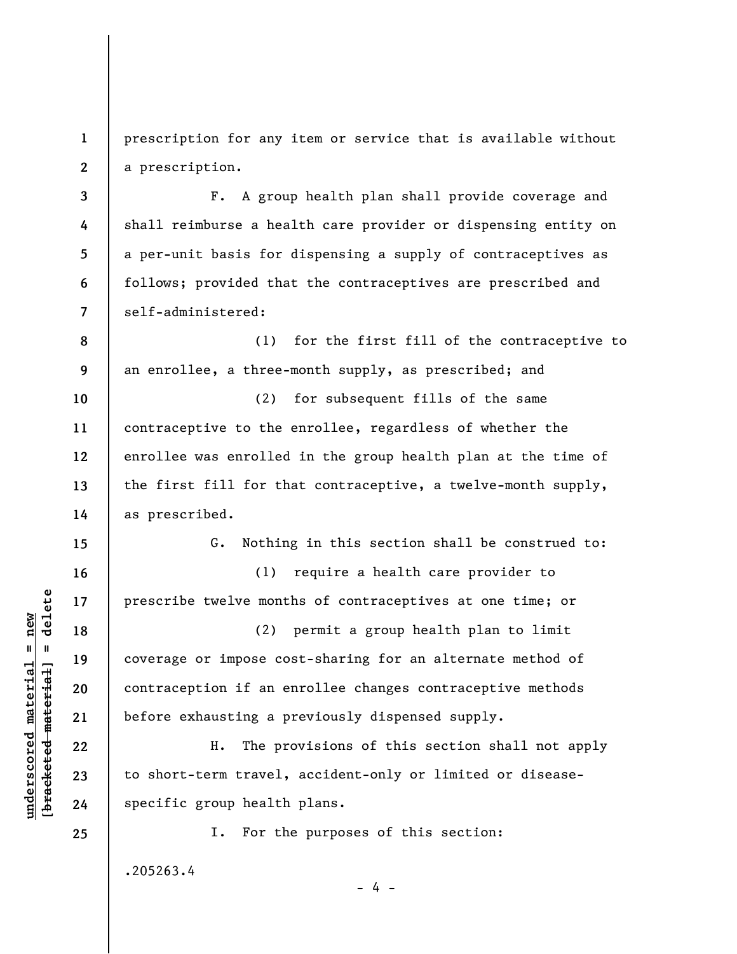**1 2**  prescription for any item or service that is available without a prescription.

F. A group health plan shall provide coverage and shall reimburse a health care provider or dispensing entity on a per-unit basis for dispensing a supply of contraceptives as follows; provided that the contraceptives are prescribed and self-administered:

**8 9**  (1) for the first fill of the contraceptive to an enrollee, a three-month supply, as prescribed; and

**10 11 12 13 14**  (2) for subsequent fills of the same contraceptive to the enrollee, regardless of whether the enrollee was enrolled in the group health plan at the time of the first fill for that contraceptive, a twelve-month supply, as prescribed.

G. Nothing in this section shall be construed to:

(1) require a health care provider to prescribe twelve months of contraceptives at one time; or

(2) permit a group health plan to limit coverage or impose cost-sharing for an alternate method of contraception if an enrollee changes contraceptive methods before exhausting a previously dispensed supply.

H. The provisions of this section shall not apply to short-term travel, accident-only or limited or diseasespecific group health plans.

I. For the purposes of this section:

- 4 -

.205263.4

 $\frac{1}{2}$  bracketed material = delete **[bracketed material] = delete**  $underscored material = new$ **underscored material = new**

**3** 

**4** 

**5** 

**6** 

**7** 

**15** 

**16** 

**17** 

**18** 

**19** 

**20** 

**21** 

**22** 

**23** 

**24** 

**25**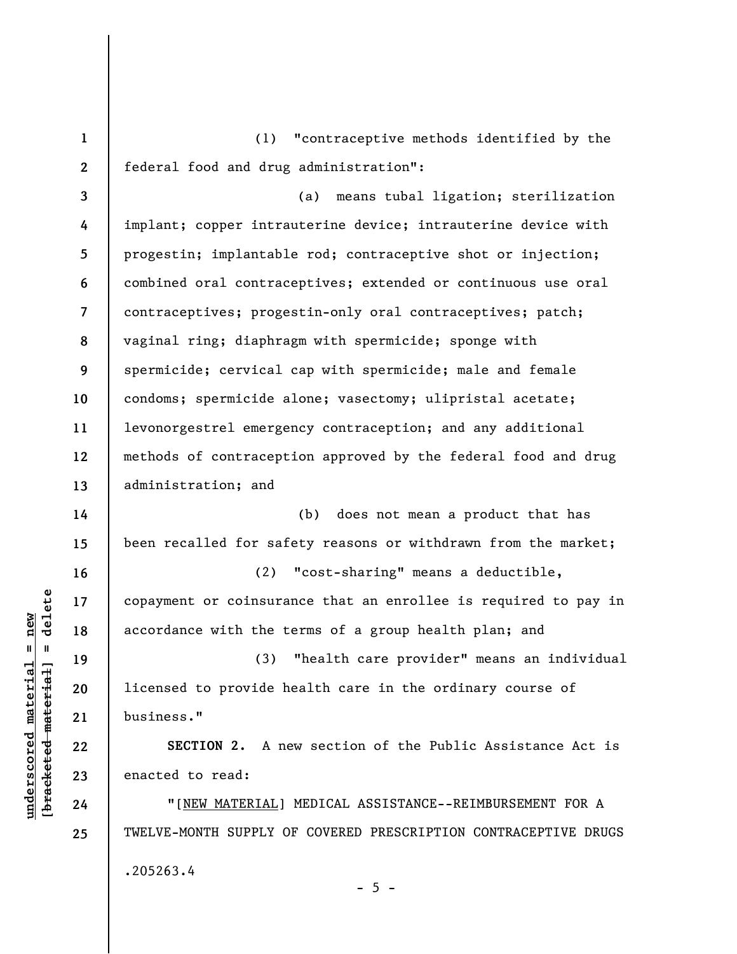**1 2**  (1) "contraceptive methods identified by the federal food and drug administration":

**3 4 5 6 7 8 9 10 11 12 13**  (a) means tubal ligation; sterilization implant; copper intrauterine device; intrauterine device with progestin; implantable rod; contraceptive shot or injection; combined oral contraceptives; extended or continuous use oral contraceptives; progestin-only oral contraceptives; patch; vaginal ring; diaphragm with spermicide; sponge with spermicide; cervical cap with spermicide; male and female condoms; spermicide alone; vasectomy; ulipristal acetate; levonorgestrel emergency contraception; and any additional methods of contraception approved by the federal food and drug administration; and

**14 15 16 17**  (b) does not mean a product that has been recalled for safety reasons or withdrawn from the market; (2) "cost-sharing" means a deductible, copayment or coinsurance that an enrollee is required to pay in

accordance with the terms of a group health plan; and

(3) "health care provider" means an individual licensed to provide health care in the ordinary course of business."

**SECTION 2.** A new section of the Public Assistance Act is enacted to read:

"[NEW MATERIAL] MEDICAL ASSISTANCE--REIMBURSEMENT FOR A TWELVE-MONTH SUPPLY OF COVERED PRESCRIPTION CONTRACEPTIVE DRUGS .205263.4  $- 5 -$ 

 $\frac{1}{2}$  intereted material = delete **[bracketed material] = delete**  $underscored material = new$ **underscored material = new**

**18** 

**19** 

**20** 

**21** 

**22** 

**23** 

**24** 

**25**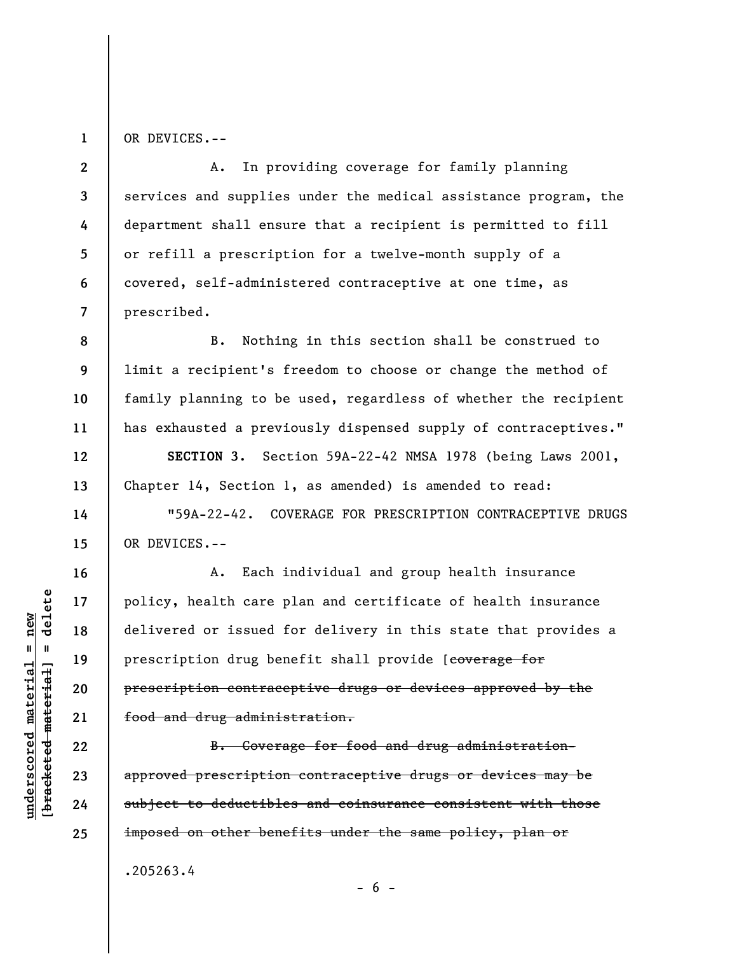OR DEVICES.--

**1** 

**8** 

**9** 

**10** 

**11** 

**12** 

**13** 

**14** 

**15** 

**16** 

**17** 

**18** 

**19** 

**20** 

**21** 

**22** 

**23** 

**24** 

**25** 

**2 3 4 5 6 7**  A. In providing coverage for family planning services and supplies under the medical assistance program, the department shall ensure that a recipient is permitted to fill or refill a prescription for a twelve-month supply of a covered, self-administered contraceptive at one time, as prescribed.

B. Nothing in this section shall be construed to limit a recipient's freedom to choose or change the method of family planning to be used, regardless of whether the recipient has exhausted a previously dispensed supply of contraceptives."

**SECTION 3.** Section 59A-22-42 NMSA 1978 (being Laws 2001, Chapter 14, Section 1, as amended) is amended to read:

"59A-22-42. COVERAGE FOR PRESCRIPTION CONTRACEPTIVE DRUGS OR DEVICES.--

A. Each individual and group health insurance policy, health care plan and certificate of health insurance delivered or issued for delivery in this state that provides a prescription drug benefit shall provide [coverage for prescription contraceptive drugs or devices approved by the food and drug administration.

B. Coverage for food and drug administrationapproved prescription contraceptive drugs or devices may be subject to deductibles and coinsurance consistent with those imposed on other benefits under the same policy, plan or

 $- 6 -$ 

.205263.4

delete **[bracketed material] = delete**  $underscored material = new$ **underscored material = new**  $\mathbf{I}$ bracketed material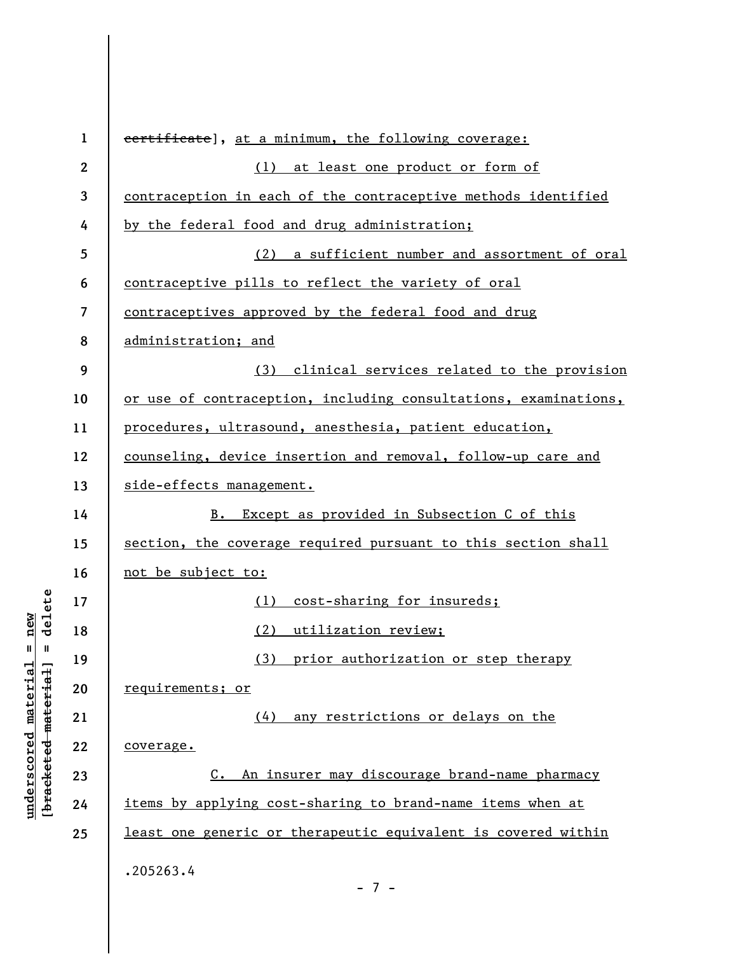| $\mathbf{1}$     | eertificate], at a minimum, the following coverage:             |
|------------------|-----------------------------------------------------------------|
| $\boldsymbol{2}$ | (1) at least one product or form of                             |
| 3                | contraception in each of the contraceptive methods identified   |
| 4                | by the federal food and drug administration;                    |
| 5                | (2) a sufficient number and assortment of oral                  |
| 6                | <u>contraceptive pills to reflect the variety of oral</u>       |
| 7                | contraceptives approved by the federal food and drug            |
| 8                | administration; and                                             |
| 9                | (3) clinical services related to the provision                  |
| 10               | or use of contraception, including consultations, examinations, |
| 11               | procedures, ultrasound, anesthesia, patient education,          |
| 12               | counseling, device insertion and removal, follow-up care and    |
| 13               | side-effects management.                                        |
| 14               | B. Except as provided in Subsection C of this                   |
| 15               | section, the coverage required pursuant to this section shall   |
| 16               | not be subject to:                                              |
| 17               | cost-sharing for insureds;<br>(1)                               |
| 18               | (2) utilization review;                                         |
| 19               | (3) prior authorization or step therapy                         |
| 20               | requirements; or                                                |
| 21               | (4) any restrictions or delays on the                           |
| 22               | coverage.                                                       |
| 23               | C. An insurer may discourage brand-name pharmacy                |
| 24               | items by applying cost-sharing to brand-name items when at      |
| 25               | least one generic or therapeutic equivalent is covered within   |
|                  | .205263.4<br>$-7-$                                              |

**underscored material = new [bracketed material] = delete**

 $[**bracket eted metert et**] = **del et e**$  $underscored material = new$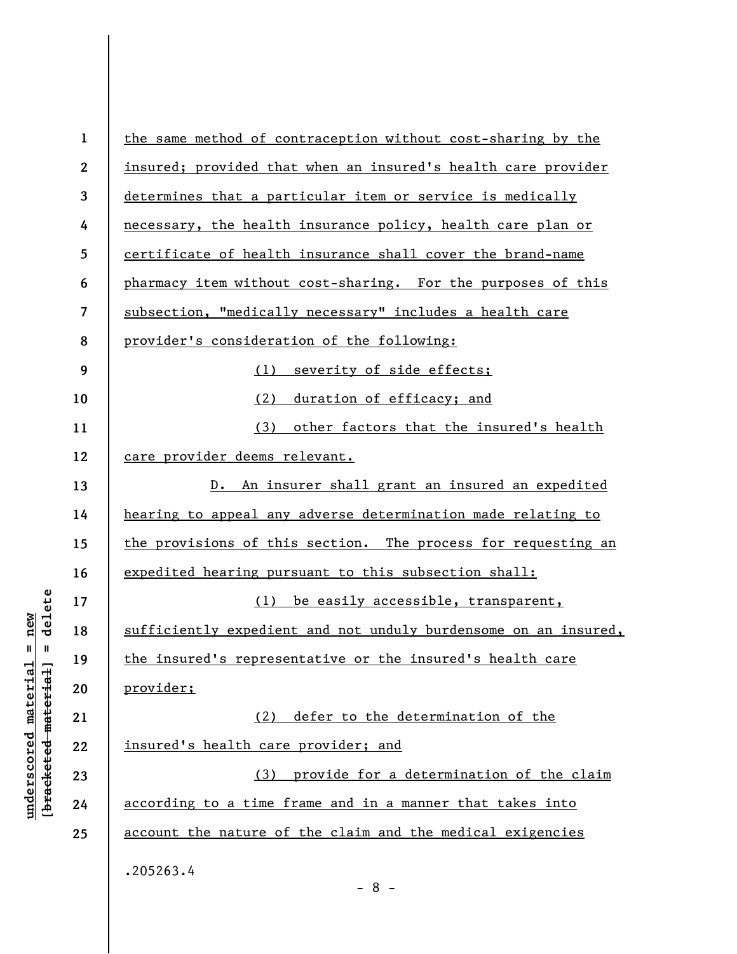| $\mathbf{1}$     | the same method of contraception without cost-sharing by the    |
|------------------|-----------------------------------------------------------------|
| $\boldsymbol{2}$ | insured; provided that when an insured's health care provider   |
| 3                | determines that a particular item or service is medically       |
| 4                | necessary, the health insurance policy, health care plan or     |
| 5                | certificate of health insurance shall cover the brand-name      |
| 6                | pharmacy item without cost-sharing. For the purposes of this    |
| 7                | subsection, "medically necessary" includes a health care        |
| 8                | provider's consideration of the following:                      |
| 9                | (1)<br>severity of side effects;                                |
| 10               | (2)<br>duration of efficacy; and                                |
| 11               | (3) other factors that the insured's health                     |
| 12               | care provider deems relevant.                                   |
| 13               | D. An insurer shall grant an insured an expedited               |
| 14               | hearing to appeal any adverse determination made relating to    |
| 15               | the provisions of this section. The process for requesting an   |
| 16               | expedited hearing pursuant to this subsection shall:            |
| 17               | (1) be easily accessible, transparent,                          |
| 18               | sufficiently expedient and not unduly burdensome on an insured, |
| 19               | the insured's representative or the insured's health care       |
| 20               | provider;                                                       |
| 21               | (2) defer to the determination of the                           |
| 22               | insured's health care provider; and                             |
| 23               | provide for a determination of the claim<br>(3)                 |
| 24               | according to a time frame and in a manner that takes into       |
| 25               | account the nature of the claim and the medical exigencies      |
|                  | .205263.4<br>$\circ$                                            |

- 8 -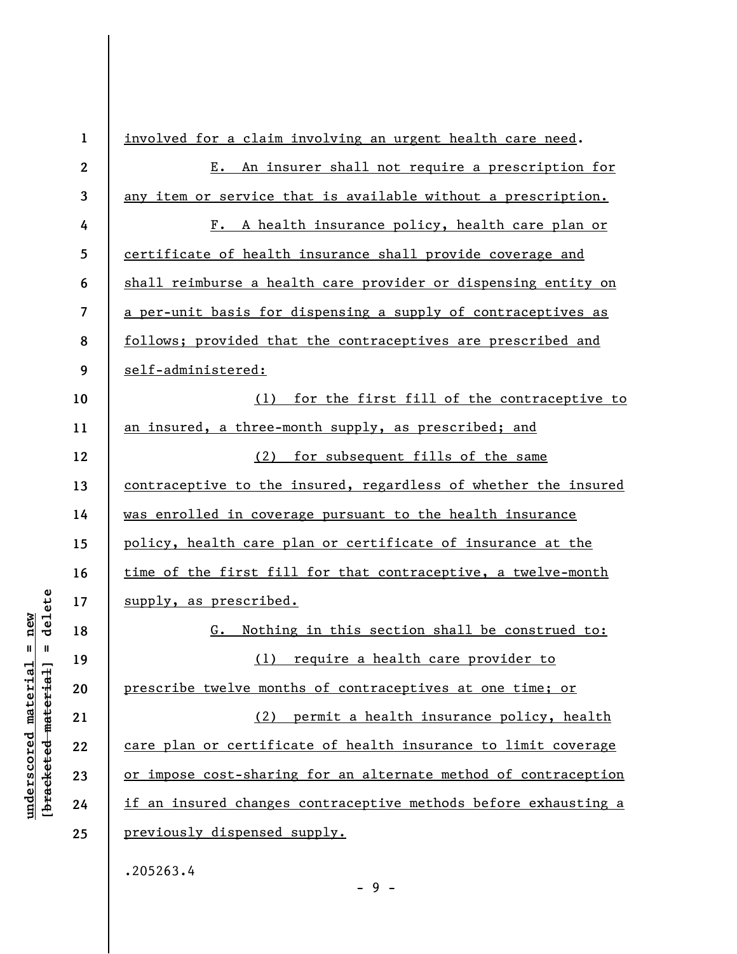| $\mathbf{1}$            | involved for a claim involving an urgent health care need.      |
|-------------------------|-----------------------------------------------------------------|
| $\mathbf{2}$            | E. An insurer shall not require a prescription for              |
| $\mathbf{3}$            | any item or service that is available without a prescription.   |
| 4                       | A health insurance policy, health care plan or<br>$F_{\bullet}$ |
| $\overline{\mathbf{5}}$ | certificate of health insurance shall provide coverage and      |
| 6                       | shall reimburse a health care provider or dispensing entity on  |
| $\overline{7}$          | a per-unit basis for dispensing a supply of contraceptives as   |
| 8                       | follows; provided that the contraceptives are prescribed and    |
| 9                       | self-administered:                                              |
| 10                      | for the first fill of the contraceptive to<br>(1)               |
| 11                      | an insured, a three-month supply, as prescribed; and            |
| 12                      | for subsequent fills of the same<br>(2)                         |
| 13                      | contraceptive to the insured, regardless of whether the insured |
| 14                      | was enrolled in coverage pursuant to the health insurance       |
| 15                      | policy, health care plan or certificate of insurance at the     |
| 16                      | time of the first fill for that contraceptive, a twelve-month   |
| 17                      | supply, as prescribed.                                          |
| 18                      | Nothing in this section shall be construed to:<br>G.            |
| 19                      | (1) require a health care provider to                           |
| 20                      | prescribe twelve months of contraceptives at one time; or       |
| 21                      | permit a health insurance policy, health<br>(2)                 |
| 22                      | care plan or certificate of health insurance to limit coverage  |
| 23                      | or impose cost-sharing for an alternate method of contraception |
| 24                      | if an insured changes contraceptive methods before exhausting a |
| 25                      | previously dispensed supply.                                    |
|                         | $205263$ $\mu$                                                  |

 $[**bracket**et~~eted matcherial~~] = **delete**$ **[bracketed material] = delete**  $underscored material = new$ **underscored material = new**

.205263.4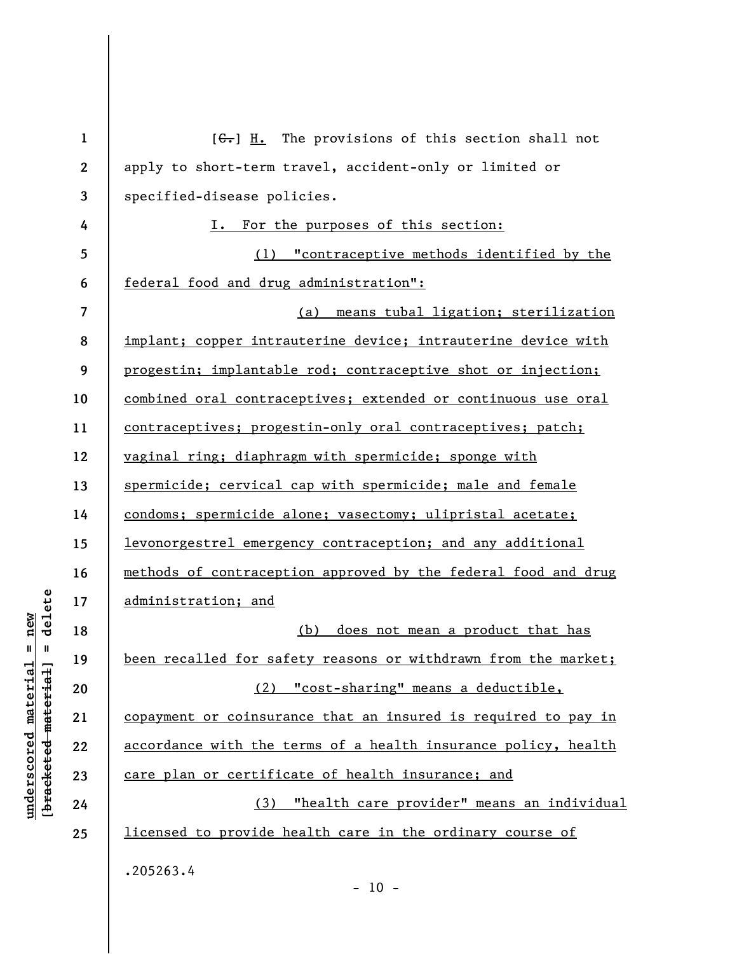| $\mathbf{1}$ | $[\theta_{\overline{x}}]$ II. The provisions of this section shall not |
|--------------|------------------------------------------------------------------------|
| $\mathbf{2}$ | apply to short-term travel, accident-only or limited or                |
| 3            | specified-disease policies.                                            |
| 4            | For the purposes of this section:<br>I.                                |
| 5            | (1) "contraceptive methods identified by the                           |
| 6            | federal food and drug administration":                                 |
| 7            | means tubal ligation; sterilization<br>(a)                             |
| 8            | implant; copper intrauterine device; intrauterine device with          |
| 9            | progestin; implantable rod; contraceptive shot or injection;           |
| 10           | combined oral contraceptives; extended or continuous use oral          |
| 11           | contraceptives; progestin-only oral contraceptives; patch;             |
| 12           | vaginal ring; diaphragm with spermicide; sponge with                   |
| 13           | spermicide; cervical cap with spermicide; male and female              |
| 14           | condoms; spermicide alone; vasectomy; ulipristal acetate;              |
| 15           | levonorgestrel emergency contraception; and any additional             |
| 16           | methods of contraception approved by the federal food and drug         |
| 17           | administration; and                                                    |
| 18           | does not mean a product that has<br>(b)                                |
| 19           | been recalled for safety reasons or withdrawn from the market;         |
| 20           | (2) "cost-sharing" means a deductible,                                 |
| 21           | copayment or coinsurance that an insured is required to pay in         |
| 22           | accordance with the terms of a health insurance policy, health         |
| 23           | care plan or certificate of health insurance; and                      |
| 24           | (3) "health care provider" means an individual                         |
| 25           | licensed to provide health care in the ordinary course of              |
|              | .205263.4<br>$-10 -$                                                   |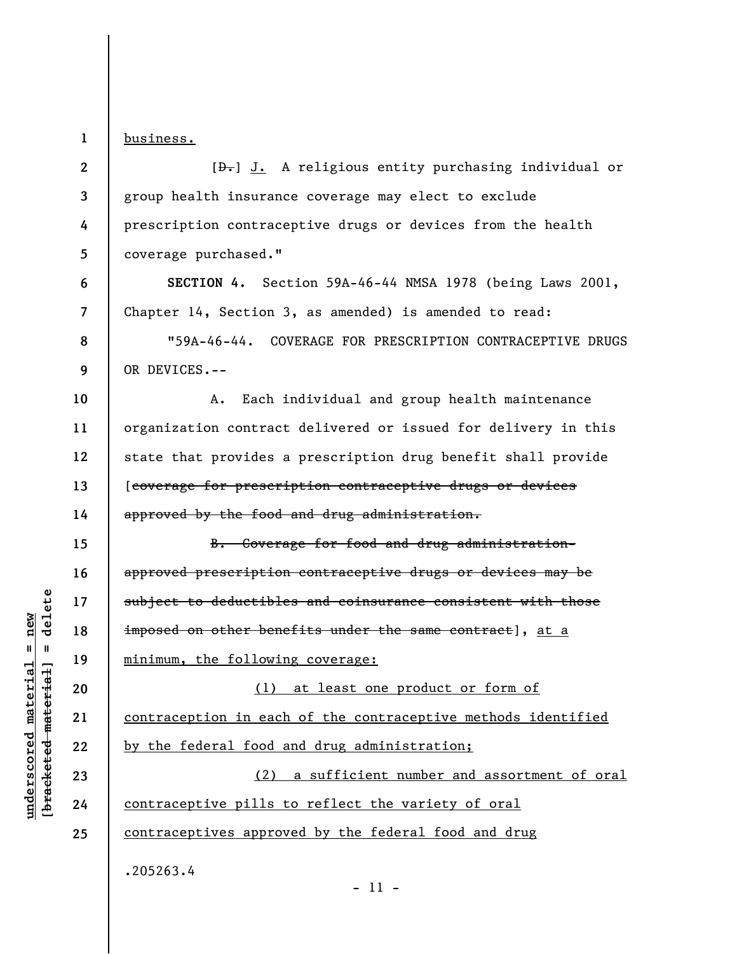**1**  business.

**6** 

**7** 

**8** 

**9** 

**15** 

**16** 

**17** 

**19** 

**2 3 4 5**   $[\frac{d}{dx}]$  J. A religious entity purchasing individual or group health insurance coverage may elect to exclude prescription contraceptive drugs or devices from the health coverage purchased."

**SECTION 4.** Section 59A-46-44 NMSA 1978 (being Laws 2001, Chapter 14, Section 3, as amended) is amended to read:

"59A-46-44. COVERAGE FOR PRESCRIPTION CONTRACEPTIVE DRUGS OR DEVICES.--

**10 11 12 13 14**  A. Each individual and group health maintenance organization contract delivered or issued for delivery in this state that provides a prescription drug benefit shall provide [coverage for prescription contraceptive drugs or devices approved by the food and drug administration.

**18**  B. Coverage for food and drug administrationapproved prescription contraceptive drugs or devices may be subject to deductibles and coinsurance consistent with those imposed on other benefits under the same contract], at a minimum, the following coverage:

**20 21 22**  (1) at least one product or form of contraception in each of the contraceptive methods identified by the federal food and drug administration;

**23 24 25**  (2) a sufficient number and assortment of oral contraceptive pills to reflect the variety of oral contraceptives approved by the federal food and drug .205263.4

**[bracketed material] = delete**  $underscored material = new$ **underscored material = new** bracketed material

delete

 $\mathbf{I}$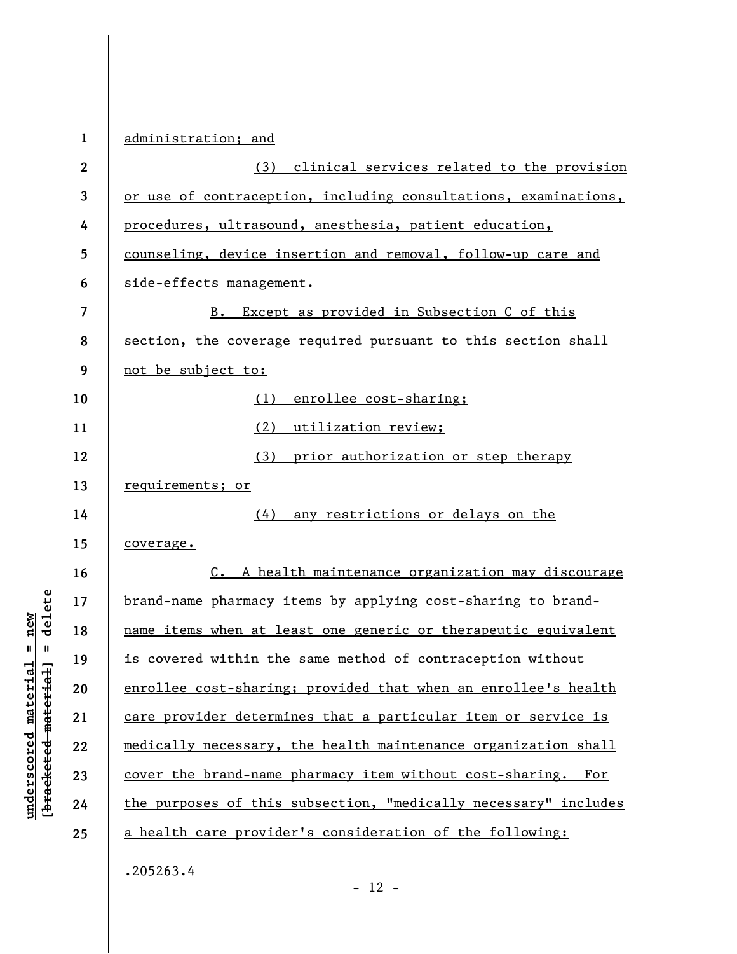| $\mathbf{1}$ | administration; and                                             |
|--------------|-----------------------------------------------------------------|
| $\mathbf{2}$ | (3) clinical services related to the provision                  |
| 3            | or use of contraception, including consultations, examinations, |
| 4            | procedures, ultrasound, anesthesia, patient education,          |
| 5            | counseling, device insertion and removal, follow-up care and    |
| 6            | side-effects management.                                        |
| 7            | Except as provided in Subsection C of this<br>B.                |
| 8            | section, the coverage required pursuant to this section shall   |
| 9            | not be subject to:                                              |
| 10           | enrollee cost-sharing;<br>(1)                                   |
| 11           | (2)<br>utilization review;                                      |
| 12           | (3)<br>prior authorization or step therapy                      |
| 13           | requirements; or                                                |
| 14           | (4) any restrictions or delays on the                           |
| 15           | coverage.                                                       |
| 16           | C. A health maintenance organization may discourage             |
| 17           | brand-name pharmacy items by applying cost-sharing to brand-    |
| 18           | name items when at least one generic or therapeutic equivalent  |
| 19           | is covered within the same method of contraception without      |
| 20           | enrollee cost-sharing; provided that when an enrollee's health  |
| 21           | care provider determines that a particular item or service is   |
| 22           | medically necessary, the health maintenance organization shall  |
| 23           | cover the brand-name pharmacy item without cost-sharing. For    |
| 24           | the purposes of this subsection, "medically necessary" includes |
| 25           | a health care provider's consideration of the following:        |
|              | .205263.4                                                       |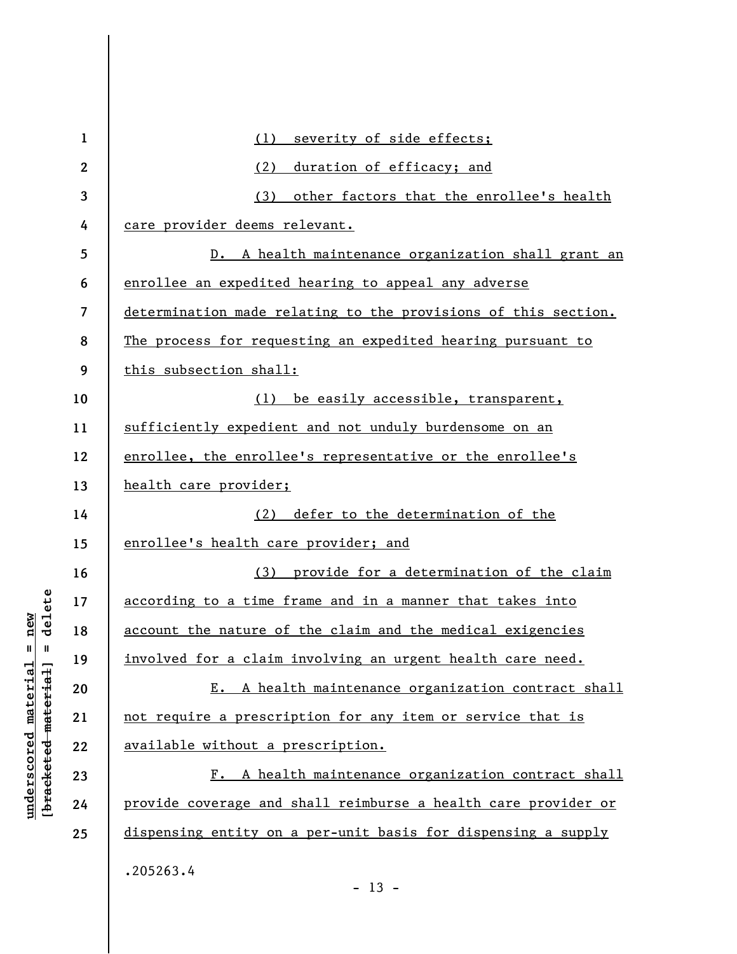| $\mathbf{1}$ | severity of side effects;<br>(1)                               |
|--------------|----------------------------------------------------------------|
| $\mathbf{2}$ | (2)<br>duration of efficacy; and                               |
| 3            | (3) other factors that the enrollee's health                   |
| 4            | care provider deems relevant.                                  |
| 5            | D. A health maintenance organization shall grant an            |
| 6            | enrollee an expedited hearing to appeal any adverse            |
| 7            | determination made relating to the provisions of this section. |
| 8            | The process for requesting an expedited hearing pursuant to    |
| 9            | this subsection shall:                                         |
| 10           | (1) be easily accessible, transparent,                         |
| 11           | sufficiently expedient and not unduly burdensome on an         |
| 12           | enrollee, the enrollee's representative or the enrollee's      |
| 13           | health care provider;                                          |
| 14           | (2) defer to the determination of the                          |
| 15           | enrollee's health care provider; and                           |
| 16           | (3) provide for a determination of the claim                   |
| 17           | according to a time frame and in a manner that takes into      |
| 18           | account the nature of the claim and the medical exigencies     |
| 19           | involved for a claim involving an urgent health care need.     |
| 20           | E. A health maintenance organization contract shall            |
| 21           | not require a prescription for any item or service that is     |
| 22           | available without a prescription.                              |
| 23           | F. A health maintenance organization contract shall            |
| 24           | provide coverage and shall reimburse a health care provider or |
| 25           | dispensing entity on a per-unit basis for dispensing a supply  |
|              | .205263.4<br>$-13 -$                                           |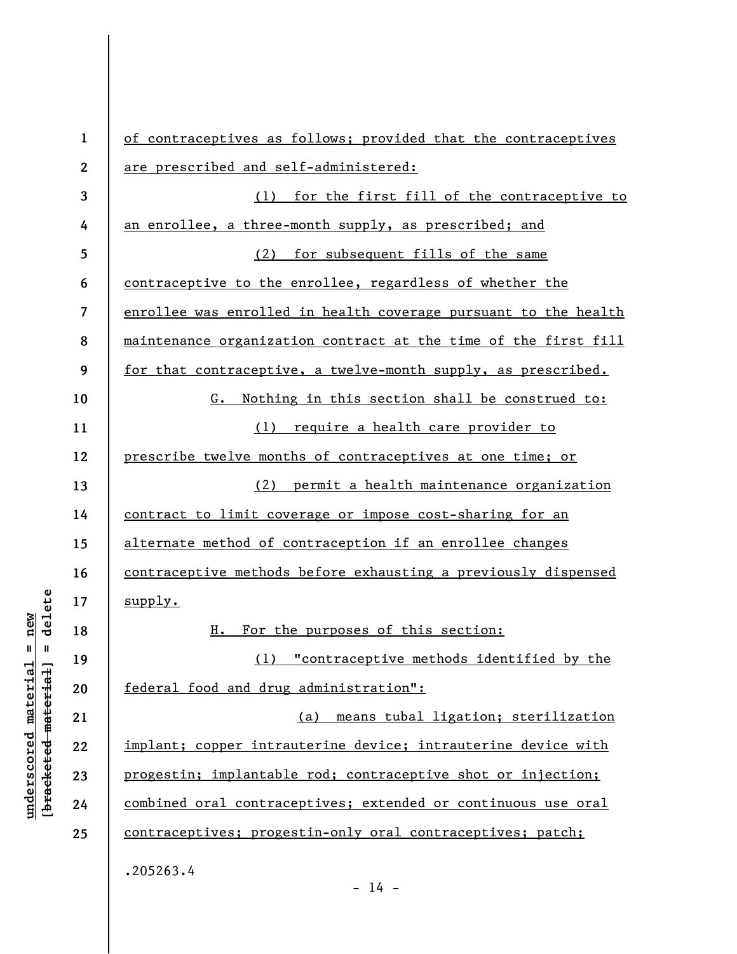| $\mathbf{1}$            | of contraceptives as follows; provided that the contraceptives  |
|-------------------------|-----------------------------------------------------------------|
| $\mathbf{2}$            | are prescribed and self-administered:                           |
| 3                       | (1) for the first fill of the contraceptive to                  |
| 4                       | an enrollee, a three-month supply, as prescribed; and           |
| 5                       | (2) for subsequent fills of the same                            |
| 6                       | contraceptive to the enrollee, regardless of whether the        |
| $\overline{\mathbf{z}}$ | enrollee was enrolled in health coverage pursuant to the health |
| 8                       | maintenance organization contract at the time of the first fill |
| 9                       | for that contraceptive, a twelve-month supply, as prescribed.   |
| 10                      | Nothing in this section shall be construed to:<br>G.            |
| 11                      | require a health care provider to<br>(1)                        |
| 12                      | prescribe twelve months of contraceptives at one time; or       |
| 13                      | permit a health maintenance organization<br>(2)                 |
| 14                      | contract to limit coverage or impose cost-sharing for an        |
| 15                      | alternate method of contraception if an enrollee changes        |
| 16                      | contraceptive methods before exhausting a previously dispensed  |
| 17                      | supply.                                                         |
| 18                      | For the purposes of this section:<br>н.                         |
| 19                      | (1) "contraceptive methods identified by the                    |
| 20                      | federal food and drug administration":                          |
| 21                      | means tubal ligation; sterilization<br>(a)                      |
| 22                      | implant; copper intrauterine device; intrauterine device with   |
| 23                      | progestin; implantable rod; contraceptive shot or injection;    |
| 24                      | combined oral contraceptives; extended or continuous use oral   |
| 25                      | contraceptives; progestin-only oral contraceptives; patch;      |
|                         | .205263.4                                                       |

 $- 14 -$